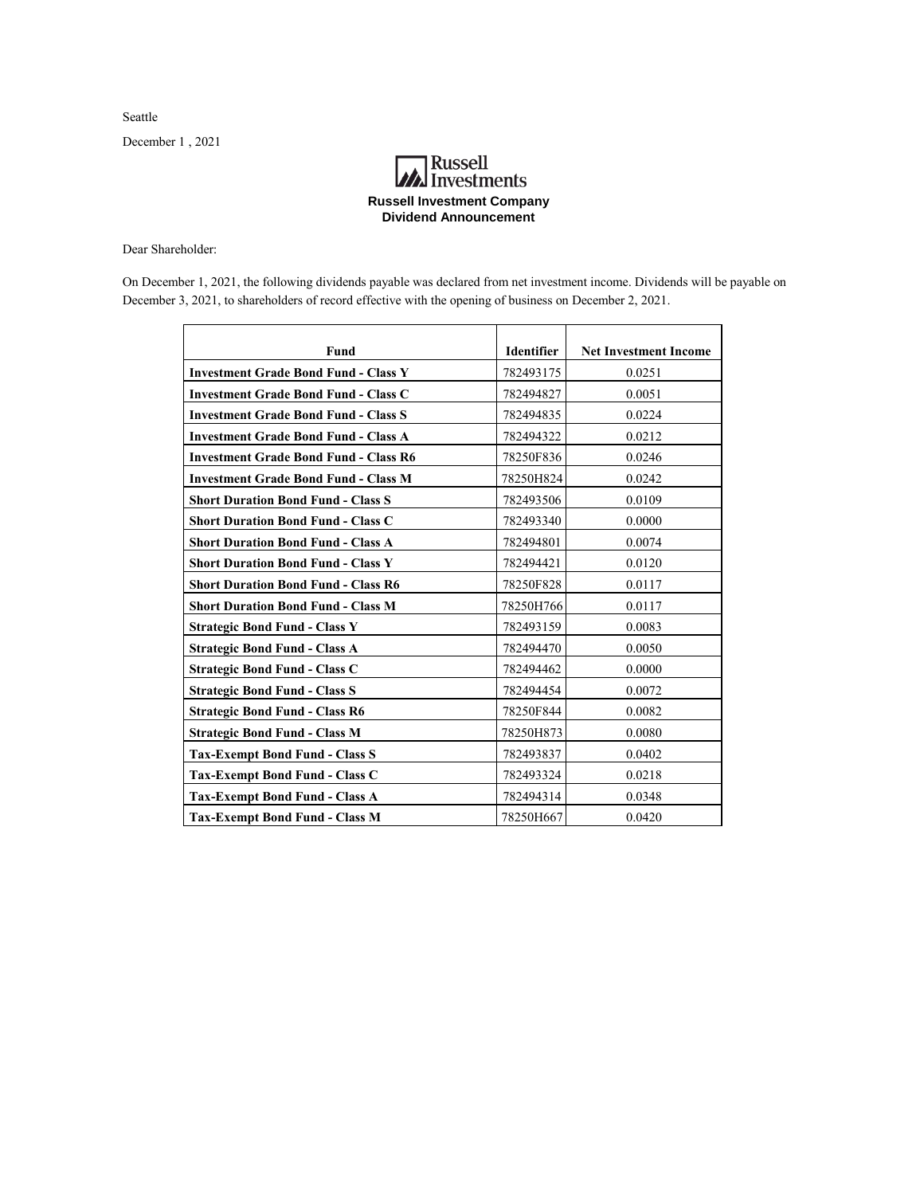Seattle

December 1 , 2021

## **Russell**<br>Investments **Russell Investment Company Dividend Announcement**

Dear Shareholder:

On December 1, 2021, the following dividends payable was declared from net investment income. Dividends will be payable on December 3, 2021, to shareholders of record effective with the opening of business on December 2, 2021.

| Fund                                         | <b>Identifier</b> | <b>Net Investment Income</b> |
|----------------------------------------------|-------------------|------------------------------|
| <b>Investment Grade Bond Fund - Class Y</b>  | 782493175         | 0.0251                       |
| <b>Investment Grade Bond Fund - Class C</b>  | 782494827         | 0.0051                       |
| <b>Investment Grade Bond Fund - Class S</b>  | 782494835         | 0.0224                       |
| <b>Investment Grade Bond Fund - Class A</b>  | 782494322         | 0.0212                       |
| <b>Investment Grade Bond Fund - Class R6</b> | 78250F836         | 0.0246                       |
| <b>Investment Grade Bond Fund - Class M</b>  | 78250H824         | 0.0242                       |
| <b>Short Duration Bond Fund - Class S</b>    | 782493506         | 0.0109                       |
| <b>Short Duration Bond Fund - Class C</b>    | 782493340         | 0.0000                       |
| <b>Short Duration Bond Fund - Class A</b>    | 782494801         | 0.0074                       |
| <b>Short Duration Bond Fund - Class Y</b>    | 782494421         | 0.0120                       |
| <b>Short Duration Bond Fund - Class R6</b>   | 78250F828         | 0.0117                       |
| <b>Short Duration Bond Fund - Class M</b>    | 78250H766         | 0.0117                       |
| <b>Strategic Bond Fund - Class Y</b>         | 782493159         | 0.0083                       |
| <b>Strategic Bond Fund - Class A</b>         | 782494470         | 0.0050                       |
| <b>Strategic Bond Fund - Class C</b>         | 782494462         | 0.0000                       |
| <b>Strategic Bond Fund - Class S</b>         | 782494454         | 0.0072                       |
| <b>Strategic Bond Fund - Class R6</b>        | 78250F844         | 0.0082                       |
| <b>Strategic Bond Fund - Class M</b>         | 78250H873         | 0.0080                       |
| <b>Tax-Exempt Bond Fund - Class S</b>        | 782493837         | 0.0402                       |
| <b>Tax-Exempt Bond Fund - Class C</b>        | 782493324         | 0.0218                       |
| <b>Tax-Exempt Bond Fund - Class A</b>        | 782494314         | 0.0348                       |
| <b>Tax-Exempt Bond Fund - Class M</b>        | 78250H667         | 0.0420                       |